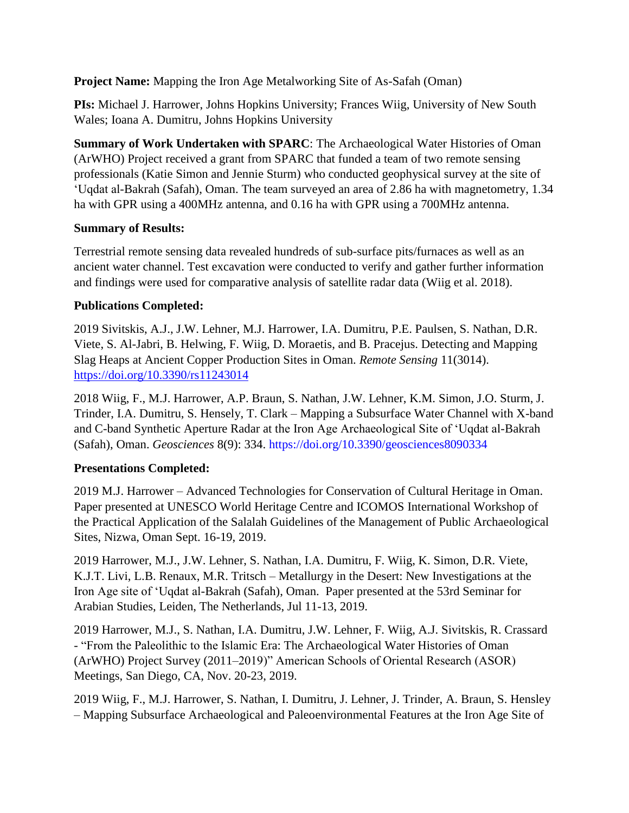**Project Name:** Mapping the Iron Age Metalworking Site of As-Safah (Oman)

**PIs:** Michael J. Harrower, Johns Hopkins University; Frances Wiig, University of New South Wales; Ioana A. Dumitru, Johns Hopkins University

**Summary of Work Undertaken with SPARC**: The Archaeological Water Histories of Oman (ArWHO) Project received a grant from SPARC that funded a team of two remote sensing professionals (Katie Simon and Jennie Sturm) who conducted geophysical survey at the site of 'Uqdat al-Bakrah (Safah), Oman. The team surveyed an area of 2.86 ha with magnetometry, 1.34 ha with GPR using a 400MHz antenna, and 0.16 ha with GPR using a 700MHz antenna.

## **Summary of Results:**

Terrestrial remote sensing data revealed hundreds of sub-surface pits/furnaces as well as an ancient water channel. Test excavation were conducted to verify and gather further information and findings were used for comparative analysis of satellite radar data (Wiig et al. 2018).

## **Publications Completed:**

2019 Sivitskis, A.J., J.W. Lehner, M.J. Harrower, I.A. Dumitru, P.E. Paulsen, S. Nathan, D.R. Viete, S. Al-Jabri, B. Helwing, F. Wiig, D. Moraetis, and B. Pracejus. Detecting and Mapping Slag Heaps at Ancient Copper Production Sites in Oman. *Remote Sensing* 11(3014). [https://doi.org/10.3390/rs11243014](about:blank)

2018 Wiig, F., M.J. Harrower, A.P. Braun, S. Nathan, J.W. Lehner, K.M. Simon, J.O. Sturm, J. Trinder, I.A. Dumitru, S. Hensely, T. Clark – Mapping a Subsurface Water Channel with X-band and C-band Synthetic Aperture Radar at the Iron Age Archaeological Site of 'Uqdat al-Bakrah (Safah), Oman. *Geosciences* 8(9): 334. [https://doi.org/10.3390/geosciences8090334](about:blank)

## **Presentations Completed:**

2019 M.J. Harrower – Advanced Technologies for Conservation of Cultural Heritage in Oman. Paper presented at UNESCO World Heritage Centre and ICOMOS International Workshop of the Practical Application of the Salalah Guidelines of the Management of Public Archaeological Sites, Nizwa, Oman Sept. 16-19, 2019.

2019 Harrower, M.J., J.W. Lehner, S. Nathan, I.A. Dumitru, F. Wiig, K. Simon, D.R. Viete, K.J.T. Livi, L.B. Renaux, M.R. Tritsch – Metallurgy in the Desert: New Investigations at the Iron Age site of 'Uqdat al-Bakrah (Safah), Oman. Paper presented at the 53rd Seminar for Arabian Studies, Leiden, The Netherlands, Jul 11-13, 2019.

2019 Harrower, M.J., S. Nathan, I.A. Dumitru, J.W. Lehner, F. Wiig, A.J. Sivitskis, R. Crassard - "From the Paleolithic to the Islamic Era: The Archaeological Water Histories of Oman (ArWHO) Project Survey (2011–2019)" American Schools of Oriental Research (ASOR) Meetings, San Diego, CA, Nov. 20-23, 2019.

2019 Wiig, F., M.J. Harrower, S. Nathan, I. Dumitru, J. Lehner, J. Trinder, A. Braun, S. Hensley – Mapping Subsurface Archaeological and Paleoenvironmental Features at the Iron Age Site of